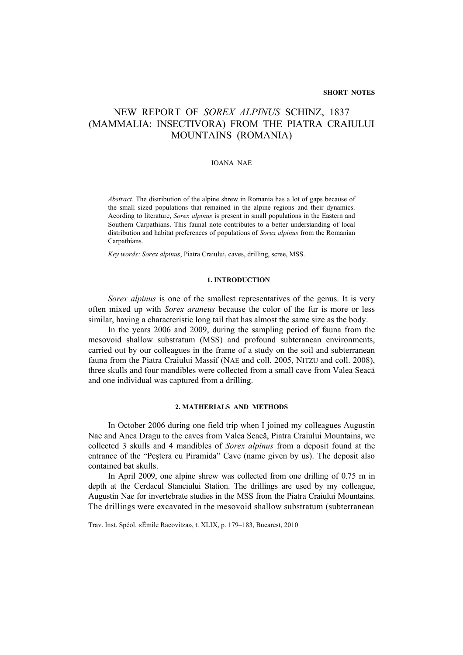# NEW REPORT OF *SOREX ALPINUS* SCHINZ, 1837 (MAMMALIA: INSECTIVORA) FROM THE PIATRA CRAIULUI MOUNTAINS (ROMANIA)

#### IOANA NAE

*Abstract.* The distribution of the alpine shrew in Romania has a lot of gaps because of the small sized populations that remained in the alpine regions and their dynamics. Acording to literature, *Sorex alpinus* is present in small populations in the Eastern and Southern Carpathians. This faunal note contributes to a better understanding of local distribution and habitat preferences of populations of *Sorex alpinus* from the Romanian Carpathians.

*Key words: Sorex alpinus*, Piatra Craiului, caves, drilling, scree, MSS.

### **1. INTRODUCTION**

*Sorex alpinus* is one of the smallest representatives of the genus. It is very often mixed up with *Sorex araneus* because the color of the fur is more or less similar, having a characteristic long tail that has almost the same size as the body.

In the years 2006 and 2009, during the sampling period of fauna from the mesovoid shallow substratum (MSS) and profound subteranean environments, carried out by our colleagues in the frame of a study on the soil and subterranean fauna from the Piatra Craiului Massif (NAE and coll. 2005, NITZU and coll. 2008), three skulls and four mandibles were collected from a small cave from Valea Seacă and one individual was captured from a drilling.

#### **2. MATHERIALS AND METHODS**

In October 2006 during one field trip when I joined my colleagues Augustin Nae and Anca Dragu to the caves from Valea Seacă, Piatra Craiului Mountains, we collected 3 skulls and 4 mandibles of *Sorex alpinus* from a deposit found at the entrance of the "Peştera cu Piramida" Cave (name given by us). The deposit also contained bat skulls.

In April 2009, one alpine shrew was collected from one drilling of 0.75 m in depth at the Cerdacul Stanciului Station. The drillings are used by my colleague, Augustin Nae for invertebrate studies in the MSS from the Piatra Craiului Mountains. The drillings were excavated in the mesovoid shallow substratum (subterranean

Trav. Inst. Spéol. «Émile Racovitza», t. XLIX, p. 179–183, Bucarest, 2010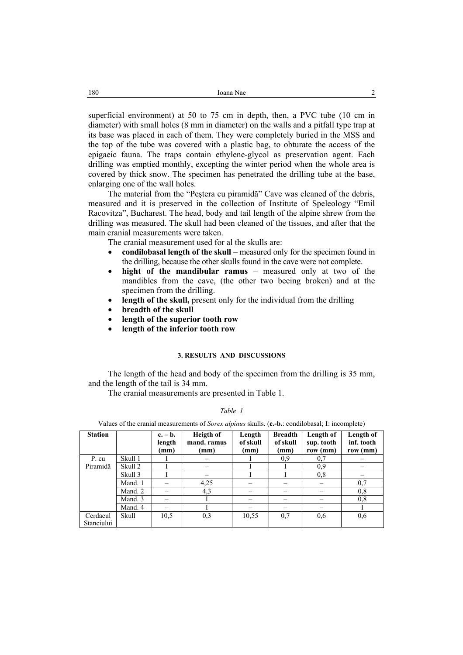superficial environment) at 50 to 75 cm in depth, then, a PVC tube (10 cm in diameter) with small holes (8 mm in diameter) on the walls and a pitfall type trap at its base was placed in each of them. They were completely buried in the MSS and the top of the tube was covered with a plastic bag, to obturate the access of the epigaeic fauna. The traps contain ethylene-glycol as preservation agent. Each drilling was emptied monthly, excepting the winter period when the whole area is covered by thick snow. The specimen has penetrated the drilling tube at the base, enlarging one of the wall holes.

The material from the "Peştera cu piramidă" Cave was cleaned of the debris, measured and it is preserved in the collection of Institute of Speleology "Emil Racovitza", Bucharest. The head, body and tail length of the alpine shrew from the drilling was measured. The skull had been cleaned of the tissues, and after that the main cranial measurements were taken.

- The cranial measurement used for al the skulls are:
- **condilobasal length of the skull** measured only for the specimen found in the drilling, because the other skulls found in the cave were not complete.
- **hight of the mandibular ramus** measured only at two of the mandibles from the cave, (the other two beeing broken) and at the specimen from the drilling.
- **length of the skull,** present only for the individual from the drilling
- **breadth of the skull**
- **length of the superior tooth row**
- **length of the inferior tooth row**

#### **3. RESULTS AND DISCUSSIONS**

The length of the head and body of the specimen from the drilling is 35 mm, and the length of the tail is 34 mm.

The cranial measurements are presented in Table 1.

*Table 1* 

Values of the cranial measurements of *Sorex alpinus* skulls. (**c.-b.**: condilobasal; **I**: incomplete)

| <b>Station</b> |         | $c. - b.$<br>length<br>(mm) | Heigth of<br>mand. ramus<br>(mm) | Length<br>of skull<br>(mm) | <b>Breadth</b><br>of skull<br>(mm) | Length of<br>sup. tooth<br>row (mm) | Length of<br>inf. tooth<br>row (mm) |
|----------------|---------|-----------------------------|----------------------------------|----------------------------|------------------------------------|-------------------------------------|-------------------------------------|
| P. cu          | Skull 1 |                             |                                  |                            | 0,9                                | 0,7                                 |                                     |
| Piramidă       | Skull 2 |                             |                                  |                            |                                    | 0,9                                 |                                     |
|                | Skull 3 |                             |                                  |                            |                                    | 0,8                                 |                                     |
|                | Mand. 1 |                             | 4,25                             |                            |                                    |                                     | 0,7                                 |
|                | Mand. 2 |                             | 4,3                              |                            |                                    |                                     | 0,8                                 |
|                | Mand. 3 |                             |                                  |                            |                                    |                                     | 0,8                                 |
|                | Mand. 4 |                             |                                  |                            |                                    |                                     |                                     |
| Cerdacul       | Skull   | 10,5                        | 0,3                              | 10.55                      | 0.7                                | 0,6                                 | 0,6                                 |
| Stanciului     |         |                             |                                  |                            |                                    |                                     |                                     |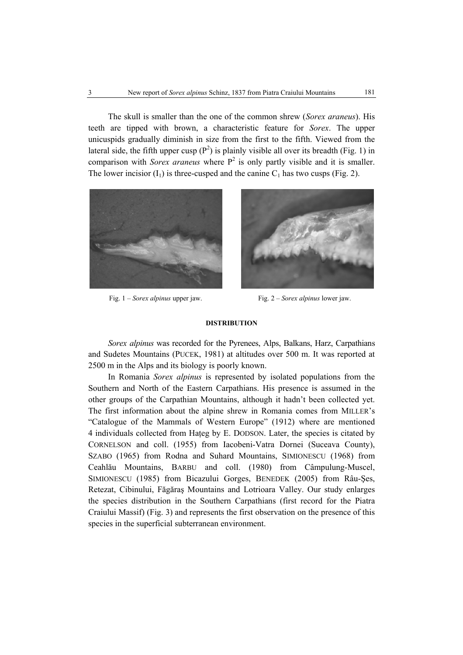The skull is smaller than the one of the common shrew (*Sorex araneus*). His teeth are tipped with brown, a characteristic feature for *Sorex*. The upper unicuspids gradually diminish in size from the first to the fifth. Viewed from the lateral side, the fifth upper cusp  $(P^2)$  is plainly visible all over its breadth (Fig. 1) in comparison with *Sorex araneus* where  $P^2$  is only partly visible and it is smaller. The lower incisior  $(I_1)$  is three-cusped and the canine  $C_1$  has two cusps (Fig. 2).





Fig. 1 – *Sorex alpinus* upper jaw. Fig. 2 – *Sorex alpinus* lower jaw.

#### **DISTRIBUTION**

*Sorex alpinus* was recorded for the Pyrenees, Alps, Balkans, Harz, Carpathians and Sudetes Mountains (PUCEK, 1981) at altitudes over 500 m. It was reported at 2500 m in the Alps and its biology is poorly known.

In Romania *Sorex alpinus* is represented by isolated populations from the Southern and North of the Eastern Carpathians. His presence is assumed in the other groups of the Carpathian Mountains, although it hadn't been collected yet. The first information about the alpine shrew in Romania comes from MILLER's "Catalogue of the Mammals of Western Europe" (1912) where are mentioned 4 individuals collected from Hateg by E. DODSON. Later, the species is citated by CORNELSON and coll. (1955) from Iacobeni-Vatra Dornei (Suceava County), SZABO (1965) from Rodna and Suhard Mountains, SIMIONESCU (1968) from Ceahlău Mountains, BARBU and coll. (1980) from Câmpulung-Muscel, SIMIONESCU (1985) from Bicazului Gorges, BENEDEK (2005) from Râu-Şes, Retezat, Cibinului, Făgăraş Mountains and Lotrioara Valley. Our study enlarges the species distribution in the Southern Carpathians (first record for the Piatra Craiului Massif) (Fig. 3) and represents the first observation on the presence of this species in the superficial subterranean environment.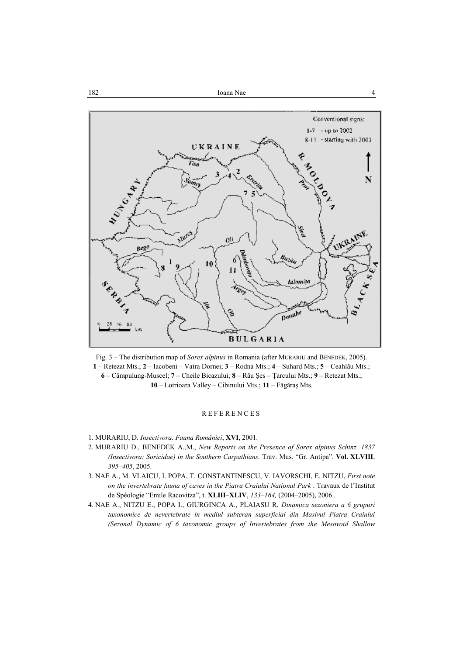

Fig. 3 – The distribution map of *Sorex alpinus* in Romania (after MURARIU and BENEDEK, 2005). **1** – Retezat Mts.; **2** – Iacobeni – Vatra Dornei; **3** – Rodna Mts.; **4** – Suhard Mts.; **5** – Ceahlău Mts.; **6** – Câmpulung-Muscel; **7** – Cheile Bicazului; **8** – Râu Şes – Ţarcului Mts.; **9** – Retezat Mts.; **10** – Lotrioara Valley – Cibinului Mts.; **11** – Făgăraş Mts.

## **REFERENCES**

- 1. MURARIU, D. *Insectivora. Fauna României*, **XVI**, 2001.
- 2. MURARIU D., BENEDEK A.,M., *New Reports on the Presence of Sorex alpinus Schinz, 1837 (Insectivora: Soricidae) in the Southern Carpathians.* Trav. Mus. "Gr. Antipa". **Vol. XLVIII**, *395–405*, 2005.
- 3. NAE A., M. VLAICU, I. POPA, T. CONSTANTINESCU, V. IAVORSCHI, E. NITZU, *First note on the invertebrate fauna of caves in the Piatra Craiului National Park* . Travaux de l'Institut de Spéologie "Emile Racovitza", t. **XLIII–XLIV**, *133–164,* (2004–2005), 2006 .
- 4. NAE A., NITZU E., POPA I., GIURGINCA A., PLAIASU R, *Dinamica sezoniera a 6 grupuri taxonomice de nevertebrate in mediul subteran superficial din Masivul Piatra Craiului (Sezonal Dynamic of 6 taxonomic groups of Invertebrates from the Mesovoid Shallow*